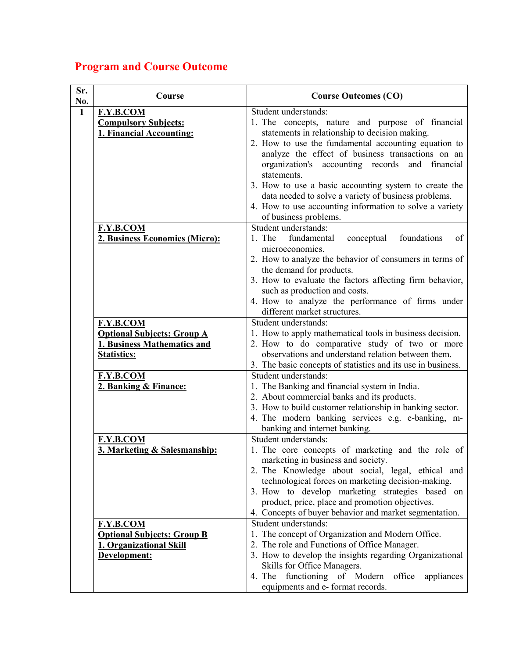## Program and Course Outcome

| Sr.<br>No.   | Course                                                                                                     | <b>Course Outcomes (CO)</b>                                                                                                                                                                                                                                                                                                                                                                                                                                                                                          |
|--------------|------------------------------------------------------------------------------------------------------------|----------------------------------------------------------------------------------------------------------------------------------------------------------------------------------------------------------------------------------------------------------------------------------------------------------------------------------------------------------------------------------------------------------------------------------------------------------------------------------------------------------------------|
| $\mathbf{1}$ | F.Y.B.COM<br><b>Compulsory Subjects:</b><br>1. Financial Accounting:                                       | Student understands:<br>1. The concepts, nature and purpose of financial<br>statements in relationship to decision making.<br>2. How to use the fundamental accounting equation to<br>analyze the effect of business transactions on an<br>organization's accounting records<br>and<br>financial<br>statements.<br>3. How to use a basic accounting system to create the<br>data needed to solve a variety of business problems.<br>4. How to use accounting information to solve a variety<br>of business problems. |
|              | F.Y.B.COM<br>2. Business Economics (Micro):                                                                | Student understands:<br>1. The<br>fundamental<br>foundations<br>of<br>conceptual<br>microeconomics.<br>2. How to analyze the behavior of consumers in terms of<br>the demand for products.<br>3. How to evaluate the factors affecting firm behavior,<br>such as production and costs.<br>4. How to analyze the performance of firms under<br>different market structures.                                                                                                                                           |
|              | F.Y.B.COM<br><b>Optional Subjects: Group A</b><br><b>1. Business Mathematics and</b><br><b>Statistics:</b> | Student understands:<br>1. How to apply mathematical tools in business decision.<br>2. How to do comparative study of two or more<br>observations and understand relation between them.<br>3. The basic concepts of statistics and its use in business.                                                                                                                                                                                                                                                              |
|              | F.Y.B.COM<br>2. Banking & Finance:                                                                         | Student understands:<br>1. The Banking and financial system in India.<br>2. About commercial banks and its products.<br>3. How to build customer relationship in banking sector.<br>4. The modern banking services e.g. e-banking, m-<br>banking and internet banking.                                                                                                                                                                                                                                               |
|              | F.Y.B.COM<br>3. Marketing & Salesmanship:                                                                  | Student understands:<br>1. The core concepts of marketing and the role of<br>marketing in business and society.<br>2. The Knowledge about social, legal, ethical and<br>technological forces on marketing decision-making.<br>3. How to develop marketing strategies based on<br>product, price, place and promotion objectives.<br>4. Concepts of buyer behavior and market segmentation.                                                                                                                           |
|              | <b>F.Y.B.COM</b><br><b>Optional Subjects: Group B</b><br>1. Organizational Skill<br>Development:           | Student understands:<br>1. The concept of Organization and Modern Office.<br>2. The role and Functions of Office Manager.<br>3. How to develop the insights regarding Organizational<br>Skills for Office Managers.<br>4. The functioning of Modern<br>office<br>appliances<br>equipments and e-format records.                                                                                                                                                                                                      |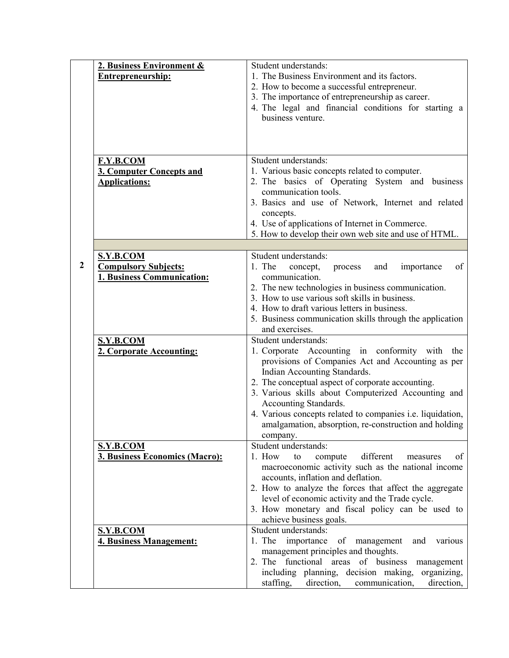|              | 2. Business Environment &<br><b>Entrepreneurship:</b>     | Student understands:<br>1. The Business Environment and its factors.                                                                                                                                                                                                                                    |
|--------------|-----------------------------------------------------------|---------------------------------------------------------------------------------------------------------------------------------------------------------------------------------------------------------------------------------------------------------------------------------------------------------|
|              |                                                           | 2. How to become a successful entrepreneur.<br>3. The importance of entrepreneurship as career.<br>4. The legal and financial conditions for starting a<br>business venture.                                                                                                                            |
|              | <b>F.Y.B.COM</b>                                          | Student understands:                                                                                                                                                                                                                                                                                    |
|              | <b>3. Computer Concepts and</b><br><b>Applications:</b>   | 1. Various basic concepts related to computer.<br>2. The basics of Operating System and business<br>communication tools.<br>3. Basics and use of Network, Internet and related<br>concepts.<br>4. Use of applications of Internet in Commerce.<br>5. How to develop their own web site and use of HTML. |
|              |                                                           |                                                                                                                                                                                                                                                                                                         |
| $\mathbf{2}$ | S.Y.B.COM                                                 | Student understands:                                                                                                                                                                                                                                                                                    |
|              | <b>Compulsory Subjects:</b><br>1. Business Communication: | 1. The<br>concept,<br>process<br>importance<br>of<br>and<br>communication.                                                                                                                                                                                                                              |
|              |                                                           | 2. The new technologies in business communication.                                                                                                                                                                                                                                                      |
|              |                                                           | 3. How to use various soft skills in business.                                                                                                                                                                                                                                                          |
|              |                                                           | 4. How to draft various letters in business.                                                                                                                                                                                                                                                            |
|              |                                                           | 5. Business communication skills through the application                                                                                                                                                                                                                                                |
|              |                                                           | and exercises.                                                                                                                                                                                                                                                                                          |
|              | <b>S.Y.B.COM</b>                                          | Student understands:                                                                                                                                                                                                                                                                                    |
|              | 2. Corporate Accounting:                                  | 1. Corporate Accounting in conformity with<br>the<br>provisions of Companies Act and Accounting as per<br>Indian Accounting Standards.                                                                                                                                                                  |
|              |                                                           | 2. The conceptual aspect of corporate accounting.<br>3. Various skills about Computerized Accounting and                                                                                                                                                                                                |
|              |                                                           | Accounting Standards.                                                                                                                                                                                                                                                                                   |
|              |                                                           | 4. Various concepts related to companies i.e. liquidation,                                                                                                                                                                                                                                              |
|              |                                                           | amalgamation, absorption, re-construction and holding                                                                                                                                                                                                                                                   |
|              | S.Y.B.COM                                                 | company.<br>Student understands:                                                                                                                                                                                                                                                                        |
|              | 3. Business Economics (Macro):                            | different<br>1. How<br>to<br>compute<br>of<br>measures                                                                                                                                                                                                                                                  |
|              |                                                           | macroeconomic activity such as the national income                                                                                                                                                                                                                                                      |
|              |                                                           | accounts, inflation and deflation.                                                                                                                                                                                                                                                                      |
|              |                                                           | 2. How to analyze the forces that affect the aggregate                                                                                                                                                                                                                                                  |
|              |                                                           | level of economic activity and the Trade cycle.<br>3. How monetary and fiscal policy can be used to                                                                                                                                                                                                     |
|              |                                                           | achieve business goals.                                                                                                                                                                                                                                                                                 |
|              | <b>S.Y.B.COM</b>                                          | Student understands:                                                                                                                                                                                                                                                                                    |
|              | <b>4. Business Management:</b>                            | 1. The importance of management<br>various<br>and                                                                                                                                                                                                                                                       |
|              |                                                           | management principles and thoughts.                                                                                                                                                                                                                                                                     |
|              |                                                           | 2. The functional areas of business<br>management                                                                                                                                                                                                                                                       |
|              |                                                           | including planning, decision making,<br>organizing,                                                                                                                                                                                                                                                     |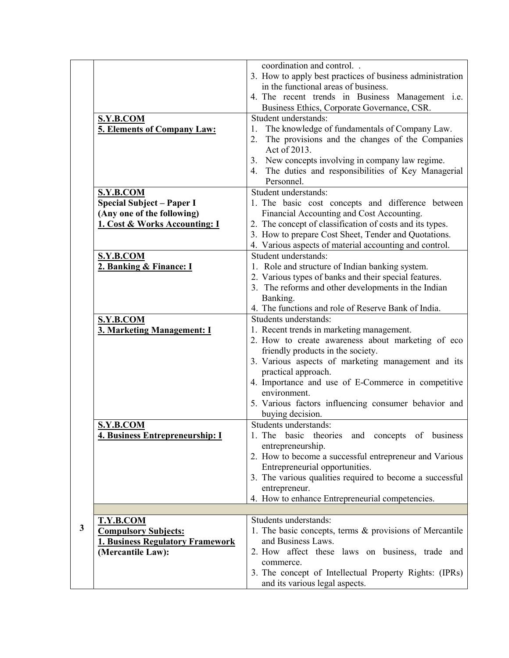|              |                                         | coordination and control                                  |
|--------------|-----------------------------------------|-----------------------------------------------------------|
|              |                                         | 3. How to apply best practices of business administration |
|              |                                         | in the functional areas of business.                      |
|              |                                         | 4. The recent trends in Business Management i.e.          |
|              |                                         | Business Ethics, Corporate Governance, CSR.               |
|              | S.Y.B.COM                               | Student understands:                                      |
|              | 5. Elements of Company Law:             | The knowledge of fundamentals of Company Law.<br>1.       |
|              |                                         | 2.<br>The provisions and the changes of the Companies     |
|              |                                         | Act of 2013.                                              |
|              |                                         | New concepts involving in company law regime.             |
|              |                                         | 3 <sub>1</sub>                                            |
|              |                                         | The duties and responsibilities of Key Managerial<br>4.   |
|              |                                         | Personnel.                                                |
|              | <b>S.Y.B.COM</b>                        | Student understands:                                      |
|              | <b>Special Subject - Paper I</b>        | 1. The basic cost concepts and difference between         |
|              | (Any one of the following)              | Financial Accounting and Cost Accounting.                 |
|              | 1. Cost & Works Accounting: I           | 2. The concept of classification of costs and its types.  |
|              |                                         | 3. How to prepare Cost Sheet, Tender and Quotations.      |
|              |                                         | 4. Various aspects of material accounting and control.    |
|              | <b>S.Y.B.COM</b>                        | Student understands:                                      |
|              | 2. Banking & Finance: I                 | 1. Role and structure of Indian banking system.           |
|              |                                         | 2. Various types of banks and their special features.     |
|              |                                         | 3. The reforms and other developments in the Indian       |
|              |                                         | Banking.                                                  |
|              |                                         | 4. The functions and role of Reserve Bank of India.       |
|              | S.Y.B.COM                               | Students understands:                                     |
|              | 3. Marketing Management: I              | 1. Recent trends in marketing management.                 |
|              |                                         | 2. How to create awareness about marketing of eco         |
|              |                                         | friendly products in the society.                         |
|              |                                         | 3. Various aspects of marketing management and its        |
|              |                                         | practical approach.                                       |
|              |                                         | 4. Importance and use of E-Commerce in competitive        |
|              |                                         | environment.                                              |
|              |                                         | 5. Various factors influencing consumer behavior and      |
|              |                                         | buying decision.                                          |
|              | <b>S.Y.B.COM</b>                        | Students understands:                                     |
|              | 4. Business Entrepreneurship: I         | 1. The basic theories and concepts of business            |
|              |                                         | entrepreneurship.                                         |
|              |                                         | 2. How to become a successful entrepreneur and Various    |
|              |                                         | Entrepreneurial opportunities.                            |
|              |                                         | 3. The various qualities required to become a successful  |
|              |                                         | entrepreneur.                                             |
|              |                                         | 4. How to enhance Entrepreneurial competencies.           |
|              |                                         |                                                           |
|              | T.Y.B.COM                               | Students understands:                                     |
| $\mathbf{3}$ | <b>Compulsory Subjects:</b>             | 1. The basic concepts, terms & provisions of Mercantile   |
|              | <b>1. Business Regulatory Framework</b> | and Business Laws.                                        |
|              | (Mercantile Law):                       | 2. How affect these laws on business, trade and           |
|              |                                         | commerce.                                                 |
|              |                                         | 3. The concept of Intellectual Property Rights: (IPRs)    |
|              |                                         | and its various legal aspects.                            |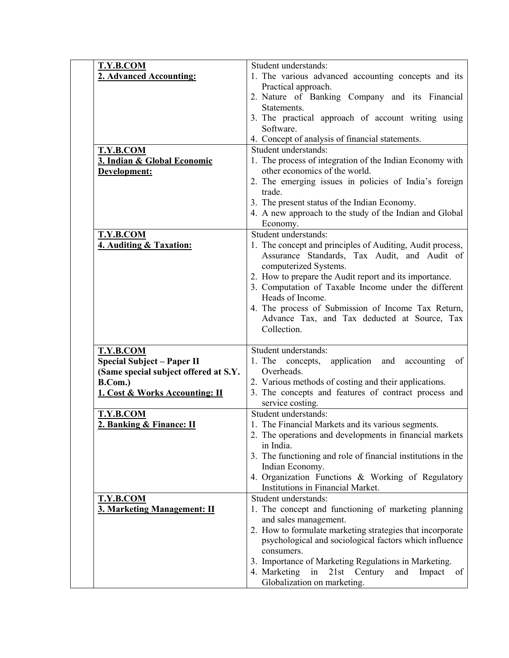| T.Y.B.COM                             | Student understands:                                         |
|---------------------------------------|--------------------------------------------------------------|
| 2. Advanced Accounting:               | 1. The various advanced accounting concepts and its          |
|                                       | Practical approach.                                          |
|                                       | 2. Nature of Banking Company and its Financial               |
|                                       | Statements.                                                  |
|                                       | 3. The practical approach of account writing using           |
|                                       | Software.                                                    |
|                                       | 4. Concept of analysis of financial statements.              |
| T.Y.B.COM                             | Student understands:                                         |
| 3. Indian & Global Economic           | 1. The process of integration of the Indian Economy with     |
| Development:                          | other economics of the world.                                |
|                                       | 2. The emerging issues in policies of India's foreign        |
|                                       | trade.                                                       |
|                                       | 3. The present status of the Indian Economy.                 |
|                                       | 4. A new approach to the study of the Indian and Global      |
|                                       |                                                              |
|                                       | Economy.                                                     |
| T.Y.B.COM                             | Student understands:                                         |
| 4. Auditing & Taxation:               | 1. The concept and principles of Auditing, Audit process,    |
|                                       | Assurance Standards, Tax Audit, and Audit of                 |
|                                       | computerized Systems.                                        |
|                                       | 2. How to prepare the Audit report and its importance.       |
|                                       | 3. Computation of Taxable Income under the different         |
|                                       | Heads of Income.                                             |
|                                       | 4. The process of Submission of Income Tax Return,           |
|                                       | Advance Tax, and Tax deducted at Source, Tax                 |
|                                       | Collection.                                                  |
|                                       |                                                              |
| <b>T.Y.B.COM</b>                      | Student understands:                                         |
| <b>Special Subject - Paper II</b>     | application and<br>1. The concepts,<br>accounting<br>of      |
| (Same special subject offered at S.Y. | Overheads.                                                   |
| B.Com.)                               | 2. Various methods of costing and their applications.        |
| 1. Cost & Works Accounting: II        | 3. The concepts and features of contract process and         |
|                                       | service costing.                                             |
| T.Y.B.COM                             | Student understands:                                         |
| 2. Banking & Finance: II              | 1. The Financial Markets and its various segments.           |
|                                       | 2. The operations and developments in financial markets      |
|                                       | in India.                                                    |
|                                       | 3. The functioning and role of financial institutions in the |
|                                       |                                                              |
|                                       | Indian Economy.                                              |
|                                       |                                                              |
|                                       | 4. Organization Functions & Working of Regulatory            |
|                                       | Institutions in Financial Market.                            |
| <b>T.Y.B.COM</b>                      | Student understands:                                         |
| 3. Marketing Management: II           | 1. The concept and functioning of marketing planning         |
|                                       | and sales management.                                        |
|                                       | 2. How to formulate marketing strategies that incorporate    |
|                                       | psychological and sociological factors which influence       |
|                                       | consumers.                                                   |
|                                       | 3. Importance of Marketing Regulations in Marketing.         |
|                                       | 4. Marketing<br>in<br>21st Century<br>and<br>Impact<br>of    |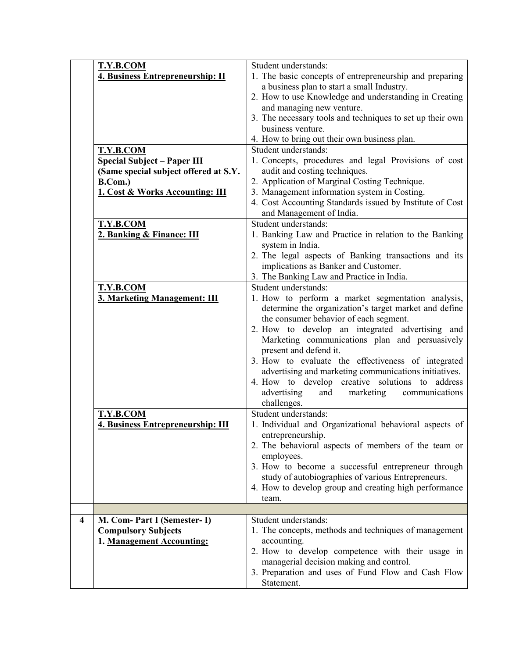| T.Y.B.COM                             | Student understands:                                      |
|---------------------------------------|-----------------------------------------------------------|
| 4. Business Entrepreneurship: II      | 1. The basic concepts of entrepreneurship and preparing   |
|                                       | a business plan to start a small Industry.                |
|                                       | 2. How to use Knowledge and understanding in Creating     |
|                                       | and managing new venture.                                 |
|                                       |                                                           |
|                                       | 3. The necessary tools and techniques to set up their own |
|                                       | business venture.                                         |
|                                       | 4. How to bring out their own business plan.              |
| T.Y.B.COM                             | Student understands:                                      |
| <b>Special Subject - Paper III</b>    | 1. Concepts, procedures and legal Provisions of cost      |
| (Same special subject offered at S.Y. | audit and costing techniques.                             |
|                                       |                                                           |
| B.Com.)                               | 2. Application of Marginal Costing Technique.             |
| 1. Cost & Works Accounting: III       | 3. Management information system in Costing.              |
|                                       | 4. Cost Accounting Standards issued by Institute of Cost  |
|                                       | and Management of India.                                  |
| <b>T.Y.B.COM</b>                      | Student understands:                                      |
|                                       |                                                           |
| 2. Banking & Finance: III             | 1. Banking Law and Practice in relation to the Banking    |
|                                       | system in India.                                          |
|                                       | 2. The legal aspects of Banking transactions and its      |
|                                       | implications as Banker and Customer.                      |
|                                       | 3. The Banking Law and Practice in India.                 |
| <b>T.Y.B.COM</b>                      | Student understands:                                      |
|                                       | 1. How to perform a market segmentation analysis,         |
| 3. Marketing Management: III          |                                                           |
|                                       | determine the organization's target market and define     |
|                                       | the consumer behavior of each segment.                    |
|                                       | 2. How to develop an integrated advertising and           |
|                                       | Marketing communications plan and persuasively            |
|                                       | present and defend it.                                    |
|                                       | 3. How to evaluate the effectiveness of integrated        |
|                                       |                                                           |
|                                       | advertising and marketing communications initiatives.     |
|                                       | 4. How to develop creative solutions to address           |
|                                       | advertising<br>and<br>marketing<br>communications         |
|                                       | challenges.                                               |
| T.Y.B.COM                             | Student understands:                                      |
| 4. Business Entrepreneurship: III     | 1. Individual and Organizational behavioral aspects of    |
|                                       | entrepreneurship.                                         |
|                                       |                                                           |
|                                       | 2. The behavioral aspects of members of the team or       |
|                                       | employees.                                                |
|                                       | 3. How to become a successful entrepreneur through        |
|                                       | study of autobiographies of various Entrepreneurs.        |
|                                       | 4. How to develop group and creating high performance     |
|                                       | team.                                                     |
|                                       |                                                           |
| M. Com- Part I (Semester- I)<br>4     | Student understands:                                      |
|                                       |                                                           |
|                                       |                                                           |
| <b>Compulsory Subjects</b>            | 1. The concepts, methods and techniques of management     |
| 1. Management Accounting:             | accounting.                                               |
|                                       | 2. How to develop competence with their usage in          |
|                                       | managerial decision making and control.                   |
|                                       | 3. Preparation and uses of Fund Flow and Cash Flow        |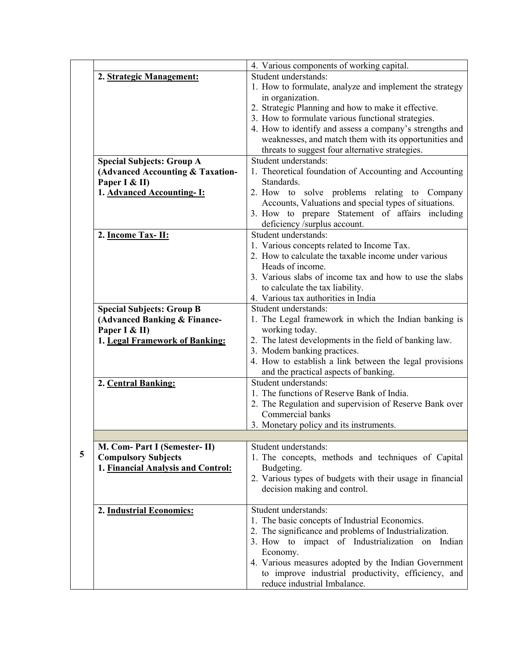|   |                                    | 4. Various components of working capital.                                  |
|---|------------------------------------|----------------------------------------------------------------------------|
|   | 2. Strategic Management:           | Student understands:                                                       |
|   |                                    | 1. How to formulate, analyze and implement the strategy                    |
|   |                                    | in organization.                                                           |
|   |                                    | 2. Strategic Planning and how to make it effective.                        |
|   |                                    | 3. How to formulate various functional strategies.                         |
|   |                                    | 4. How to identify and assess a company's strengths and                    |
|   |                                    | weaknesses, and match them with its opportunities and                      |
|   |                                    | threats to suggest four alternative strategies.                            |
|   | <b>Special Subjects: Group A</b>   | Student understands:                                                       |
|   | (Advanced Accounting & Taxation-   | 1. Theoretical foundation of Accounting and Accounting                     |
|   | Paper I & II)                      | Standards.                                                                 |
|   | 1. Advanced Accounting-I:          | 2. How to solve problems relating to Company                               |
|   |                                    | Accounts, Valuations and special types of situations.                      |
|   |                                    | 3. How to prepare Statement of affairs including                           |
|   |                                    | deficiency /surplus account.                                               |
|   | 2. Income Tax-II:                  | Student understands:                                                       |
|   |                                    | 1. Various concepts related to Income Tax.                                 |
|   |                                    | 2. How to calculate the taxable income under various                       |
|   |                                    | Heads of income.                                                           |
|   |                                    | 3. Various slabs of income tax and how to use the slabs                    |
|   |                                    | to calculate the tax liability.                                            |
|   |                                    | 4. Various tax authorities in India                                        |
|   | <b>Special Subjects: Group B</b>   | Student understands:                                                       |
|   | (Advanced Banking & Finance-       | 1. The Legal framework in which the Indian banking is                      |
|   | Paper I & II)                      | working today.                                                             |
|   | 1. Legal Framework of Banking:     | 2. The latest developments in the field of banking law.                    |
|   |                                    | 3. Modem banking practices.                                                |
|   |                                    | 4. How to establish a link between the legal provisions                    |
|   |                                    | and the practical aspects of banking.                                      |
|   | 2. Central Banking:                | Student understands:                                                       |
|   |                                    | 1. The functions of Reserve Bank of India.                                 |
|   |                                    | 2. The Regulation and supervision of Reserve Bank over<br>Commercial banks |
|   |                                    |                                                                            |
|   |                                    | 3. Monetary policy and its instruments.                                    |
|   | M. Com- Part I (Semester- II)      | Student understands:                                                       |
| 5 | <b>Compulsory Subjects</b>         | 1. The concepts, methods and techniques of Capital                         |
|   | 1. Financial Analysis and Control: | Budgeting.                                                                 |
|   |                                    | 2. Various types of budgets with their usage in financial                  |
|   |                                    | decision making and control.                                               |
|   |                                    |                                                                            |
|   | 2. Industrial Economics:           | Student understands:                                                       |
|   |                                    | 1. The basic concepts of Industrial Economics.                             |
|   |                                    | 2. The significance and problems of Industrialization.                     |
|   |                                    | 3. How to impact of Industrialization on Indian                            |
|   |                                    | Economy.                                                                   |
|   |                                    | 4. Various measures adopted by the Indian Government                       |
|   |                                    | to improve industrial productivity, efficiency, and                        |
|   |                                    | reduce industrial Imbalance.                                               |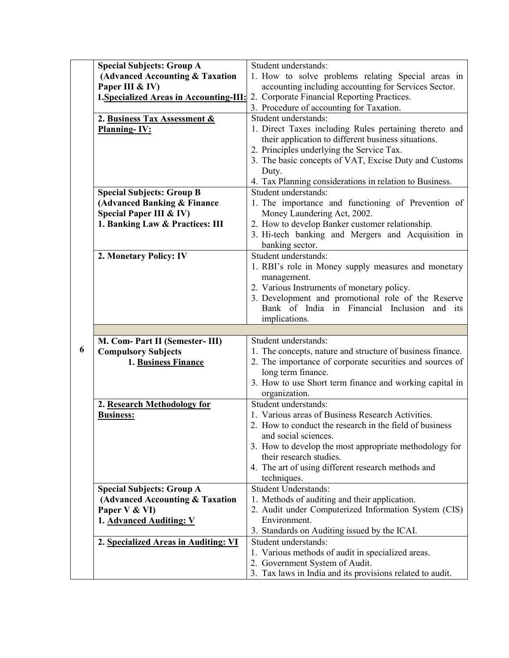|   | <b>Special Subjects: Group A</b>        | Student understands:                                                                        |
|---|-----------------------------------------|---------------------------------------------------------------------------------------------|
|   | (Advanced Accounting & Taxation         | 1. How to solve problems relating Special areas in                                          |
|   | Paper III & IV)                         | accounting including accounting for Services Sector.                                        |
|   | 1. Specialized Areas in Accounting-III: | 2. Corporate Financial Reporting Practices.                                                 |
|   |                                         | 3. Procedure of accounting for Taxation.                                                    |
|   | 2. Business Tax Assessment &            | Student understands:                                                                        |
|   | <b>Planning-IV:</b>                     | 1. Direct Taxes including Rules pertaining thereto and                                      |
|   |                                         | their application to different business situations.                                         |
|   |                                         | 2. Principles underlying the Service Tax.                                                   |
|   |                                         | 3. The basic concepts of VAT, Excise Duty and Customs                                       |
|   |                                         | Duty.                                                                                       |
|   |                                         | 4. Tax Planning considerations in relation to Business.                                     |
|   | <b>Special Subjects: Group B</b>        | Student understands:                                                                        |
|   | (Advanced Banking & Finance             | 1. The importance and functioning of Prevention of                                          |
|   | Special Paper III & IV)                 | Money Laundering Act, 2002.                                                                 |
|   | 1. Banking Law & Practices: III         | 2. How to develop Banker customer relationship.                                             |
|   |                                         | 3. Hi-tech banking and Mergers and Acquisition in                                           |
|   |                                         | banking sector.                                                                             |
|   | 2. Monetary Policy: IV                  | Student understands:                                                                        |
|   |                                         | 1. RBI's role in Money supply measures and monetary                                         |
|   |                                         | management.                                                                                 |
|   |                                         | 2. Various Instruments of monetary policy.                                                  |
|   |                                         | 3. Development and promotional role of the Reserve                                          |
|   |                                         | Bank of India in Financial Inclusion<br>and its                                             |
|   |                                         | implications.                                                                               |
|   |                                         |                                                                                             |
|   |                                         |                                                                                             |
|   | M. Com- Part II (Semester- III)         | Student understands:                                                                        |
| 6 | <b>Compulsory Subjects</b>              | 1. The concepts, nature and structure of business finance.                                  |
|   | 1. Business Finance                     | 2. The importance of corporate securities and sources of                                    |
|   |                                         | long term finance.                                                                          |
|   |                                         | 3. How to use Short term finance and working capital in                                     |
|   |                                         | organization.                                                                               |
|   | 2. Research Methodology for             | Student understands:                                                                        |
|   | <b>Business:</b>                        | 1. Various areas of Business Research Activities.                                           |
|   |                                         | 2. How to conduct the research in the field of business                                     |
|   |                                         | and social sciences.                                                                        |
|   |                                         | 3. How to develop the most appropriate methodology for                                      |
|   |                                         | their research studies.                                                                     |
|   |                                         | 4. The art of using different research methods and                                          |
|   |                                         | techniques.                                                                                 |
|   | <b>Special Subjects: Group A</b>        | <b>Student Understands:</b>                                                                 |
|   | (Advanced Accounting & Taxation         | 1. Methods of auditing and their application.                                               |
|   | Paper V & VI)                           | 2. Audit under Computerized Information System (CIS)                                        |
|   | 1. Advanced Auditing: V                 | Environment.                                                                                |
|   |                                         | 3. Standards on Auditing issued by the ICAI.                                                |
|   | 2. Specialized Areas in Auditing: VI    | Student understands:                                                                        |
|   |                                         | 1. Various methods of audit in specialized areas.                                           |
|   |                                         | 2. Government System of Audit.<br>3. Tax laws in India and its provisions related to audit. |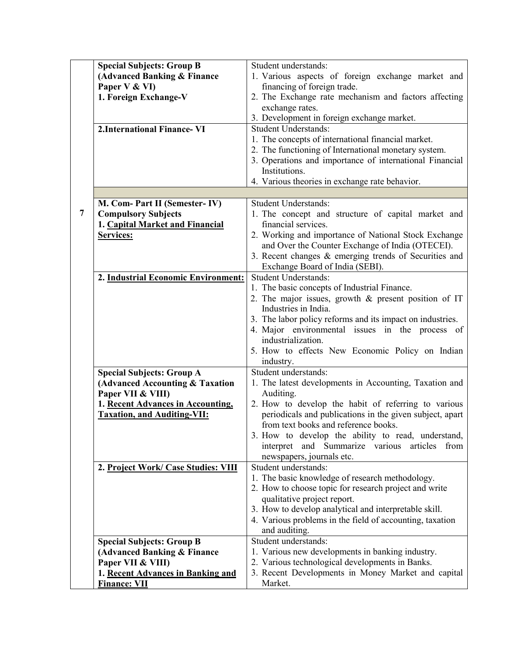|   | <b>Special Subjects: Group B</b>    | Student understands:                                                  |
|---|-------------------------------------|-----------------------------------------------------------------------|
|   | (Advanced Banking & Finance         | 1. Various aspects of foreign exchange market and                     |
|   | Paper V & VI)                       | financing of foreign trade.                                           |
|   | 1. Foreign Exchange-V               | 2. The Exchange rate mechanism and factors affecting                  |
|   |                                     | exchange rates.                                                       |
|   |                                     | 3. Development in foreign exchange market.                            |
|   | 2. International Finance-VI         | <b>Student Understands:</b>                                           |
|   |                                     | 1. The concepts of international financial market.                    |
|   |                                     | 2. The functioning of International monetary system.                  |
|   |                                     | 3. Operations and importance of international Financial               |
|   |                                     | Institutions.                                                         |
|   |                                     | 4. Various theories in exchange rate behavior.                        |
|   |                                     |                                                                       |
|   | M. Com- Part II (Semester-IV)       | <b>Student Understands:</b>                                           |
| 7 | <b>Compulsory Subjects</b>          | 1. The concept and structure of capital market and                    |
|   | 1. Capital Market and Financial     | financial services.                                                   |
|   | Services:                           | 2. Working and importance of National Stock Exchange                  |
|   |                                     | and Over the Counter Exchange of India (OTECEI).                      |
|   |                                     | 3. Recent changes $\&$ emerging trends of Securities and              |
|   |                                     | Exchange Board of India (SEBI).                                       |
|   | 2. Industrial Economic Environment: | <b>Student Understands:</b>                                           |
|   |                                     | 1. The basic concepts of Industrial Finance.                          |
|   |                                     | 2. The major issues, growth $\&$ present position of IT               |
|   |                                     | Industries in India.                                                  |
|   |                                     | 3. The labor policy reforms and its impact on industries.             |
|   |                                     | 4. Major environmental issues in the process of<br>industrialization. |
|   |                                     | 5. How to effects New Economic Policy on Indian                       |
|   |                                     | industry.                                                             |
|   | <b>Special Subjects: Group A</b>    | Student understands:                                                  |
|   | (Advanced Accounting & Taxation     | 1. The latest developments in Accounting, Taxation and                |
|   | Paper VII & VIII)                   | Auditing.                                                             |
|   | 1. Recent Advances in Accounting,   | 2. How to develop the habit of referring to various                   |
|   | <b>Taxation, and Auditing-VII:</b>  | periodicals and publications in the given subject, apart              |
|   |                                     | from text books and reference books.                                  |
|   |                                     | 3. How to develop the ability to read, understand,                    |
|   |                                     | Summarize various<br>articles<br>and<br>from<br>interpret             |
|   |                                     | newspapers, journals etc.                                             |
|   | 2. Project Work/ Case Studies: VIII | Student understands:                                                  |
|   |                                     | 1. The basic knowledge of research methodology.                       |
|   |                                     | 2. How to choose topic for research project and write                 |
|   |                                     | qualitative project report.                                           |
|   |                                     | 3. How to develop analytical and interpretable skill.                 |
|   |                                     | 4. Various problems in the field of accounting, taxation              |
|   |                                     | and auditing.                                                         |
|   | <b>Special Subjects: Group B</b>    | Student understands:                                                  |
|   | (Advanced Banking & Finance         | 1. Various new developments in banking industry.                      |
|   | Paper VII & VIII)                   | 2. Various technological developments in Banks.                       |
|   | 1. Recent Advances in Banking and   | 3. Recent Developments in Money Market and capital                    |
|   | <b>Finance: VII</b>                 | Market.                                                               |